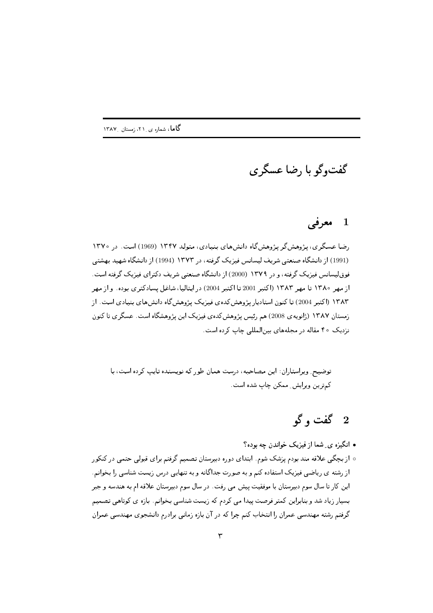گفتوگو با رضا عسگري

## معرفي  $\blacksquare$

رضا عسگری، پژوهش گر پژوهش گاه دانش های پنیادی، متولد ۱۳۴۷ (1969) است. در ۱۳۷۰ (1991) از دانشگاه صنعتی شریف لیسانس فیزیک گرفته، در ۱۳۷۳ (1994) از دانشگاه شهید بهشتی فوق لیسانس فیزیک گرفته، و در ۱۳۷۹ (2000) از دانشگاه صنعتی شریف دکترای فیزیک گرفته است. از مهر ۱۳۸۰ تا مهر ۱۳۸۳ (اکتبر 2001 تا اکتبر 2004) در ایتالیا، شاغل بسادکتری بوده. و از مهر ۱۳۸۳ (اکتبر 2004) تا کنون استادیار پژوهش کدهی فیزیک پژوهش گاه دانش های بنیادی است. از زمستان ۱۳۸۷ (ژانویەی 2008) هم رئیس پژوهش کده ی فیزیک این پژوهشگاه است. عسگری تا کنون نزدیک ۴۰ مقاله در مجلههای پین المللی چاپ کرده است.

توضیح ِ ویراستاران: این مصاحبه، درست همان طور که نویسنده تایپ کرده است، با كمترين ويرايش ِ ممكن چاپ شده است.

## 2 گفت و گو

- انگیزه ی شما از فیزیک خواندن چه بوده؟
- ازبیچگی علاقه مند بودم پزشک شوم. ابتدای دوره دبیرستان تصمیم گرفتم برای قبولی حتمی در کنکور از رشته ی ریاضی فیزیک استفاده کنم و به صورت جداگانه و به تنهایی درس زیست شناسی را بخوانم. این کار تا سال سوم دبیرستان با موفقیت پیش می رفت. در سال سوم دبیرستان علاقه ام به هندسه و جبر بسیار زیاد شد و بنابراین کمتر فرصت پیدا می کردم که زیست شناسی بخوانم. بازه ی کوتاهی تصمیم گرفتم رشته مهندسی عمران را انتخاب کنم چرا که در آن بازه زمانی برادرم دانشجوی مهندسی عمران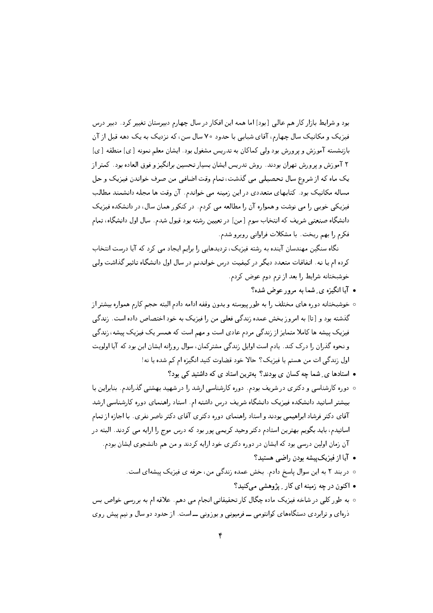بود و شرایط بازار کار هم عالی [بود] اما همه این افکار در سال چهارم دبیرستان تغییر کرد. دبیر درس .<br>فیزیک و مکانیک سال چهارم، آقای شبابی با حدود ۷۰ سال سن، که نزدیک به یک دهه قبل از آن بازنشسته آموزش و پرورش بود ولی کماکان به تدریس مشغول بود. ایشان معلم نمونه [ی] منطقه [ی] ۲ آموزش و پرورش تهران بودند. روش تدریس ایشان بسیار تحسین برانگیز و فوق العاده بود. کمتر از یک ماه که از شروع سال تحصیلی میی گذشت، تمام وقت اضافی من صرف خواندن فیزیک و حل مساله مکانیک بود. کتابهای متعددی در این زمینه می خواندم. آن وقت ها مجله دانشمند مطالب فیزیکی خوبی را می نوشت و همواره آن را مطالعه می کردم. در کنکور همان سال، در دانشکده فیزیک دانشگاه صنعتبی شریف که انتخاب سوم [من] در تعیین رشته بود قبول شدم. سال اول دانشگاه، تمام فكرم را بهم ريخت. با مشكلات فراواني روبرو شدم.

نگاه سنگین مهندسان آینده به رشته فیزیک، تردیدهایی را برایم ایجاد می کرد که آیا درست انتخاب کرده ام یا نه. اتفاقات متعدد دیگر در کیفیت درس خواندنم در سال اول دانشگاه تاثیر گذاشت ولی خوشبختانه شرايط را بعد از ترم دوم عوض كردم.

- آیا انگیزه ی ِ شما به مرور عوض شده؟
- خوشبختانه دوره هاى مختلف را به طورييوسته و بدون وقفه ادامه دادم البته حجم كارم همواره بيشتر از گذشته بود و [تا] به امروز بخش عمده زندگی فعلی من را فیزیک به خود اختصاص داده است. زندگی فیزیک پیشه ها کاملا متمایز از زندگی مردم عادی است و مهم است که همسر یک فیزیک پیشه، زندگی و نحوه گذران را درک کند. یادم است اوایل زندگی مشترکمان، سوال روزانه ایشان این بود که آیا اولویت اول زندگی ات من هستم یا فیزیک؟ حالا خود قضاوت کنید انگیزه ام کم شده یا نه!
	- استادها ی ِ شما چه کسان ی بودند؟ بهترین استاد ی که داشتید کی بود؟
- دوره کارشناسی و دکتری در شریف بودم. دوره کارشناسی ارشد را در شهید بهشتی گذراندم. بنابراین با بیشتر اساتید دانشکده فیزیک دانشگاه شریف درس داشته ام. استاد راهنمای دوره کارشناسی ارشد آقای دکتر فرشاد ابراهیمی بودند و استاد راهنمای دوره دکتری آقای دکتر ناصر نفری. با اجازه از تمام اساتیدم، باید بگویم بهترین استادم دکتر وحید کریمی پور بود که درس موج را ارایه می کردند. البته در آن زمان اولین درسی بود که ایشان در دوره دکتری خود ارایه کردند و من هم دانشجوی ایشان بودم.
	- آیا از فیزیک پیشه بودن راضبی هستید؟
	- در بند ٢ به این سوال پاسخ دادم. بخش عمده زندگی من، حرفه ی فیزیک پیشهای است.
		- اکنون در چه زمینه ای کار پیژوهشی میکنید؟
- ۰ به طور کلبی در شاخه فیزیک ماده چگال کار تحقیقاتی انجام می دهم. علاقه ام به بررسی خواص بس ذرهای و ترابردی دستگاههای کوانتومی ـــ فرمیونی و بوزونی ـــ است. از حدود دو سال و نیم پیش روی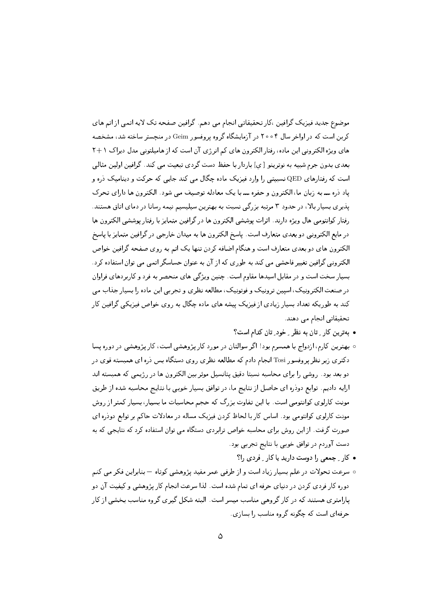موضوع جدید فیزیک گرافین ،کارتحقیقاتی انجام می دهم. گرافین صفحه تک لایه اتمی از اتم های کربن است که در اواخر سال ۲۰۰۴ در آزمایشگاه گروه پروفسور Geim در منچستر ساخته شد، مشخصه های ویژه الکترونی این ماده، رفتار الکترون های کم انرژی آن است که از هامیلتونی مدل دیراک ۱+۲ بعدی بدون جرم شبیه به نوترینو [ي] باردار با حفظ دست گردی تبعیت می کند. گرافین اولین مثالبی است که رفتارهای QED نسبیتی را وارد فیزیک ماده چگال می کند جایی که حرکت و دینامیک دره و یاد ذره ـــ به زبان ما، الکترون و حفره ـــ با یک معادله توصیف می شود. الکترون ها دارای تحرک یذیری بسیار بالا، در حدود ۳ مرتبه بزرگی نسبت به بهترین سیلیسیم نیمه رسانا در دمای اتاق هستند. رفتار كوانتومي هال ويژه دارند. اثرات يوششي الكترون ها در گرافين متمايز با رفتار يوششي الكترون ها در مايع الكتروني دو بعدي متعارف است. ياسخ الكترون ها به ميدان خارجي در گرافين متمايز با ياسخ الکترون های دو بعدی متعارف است و هنگام اضافه کردن تنها یک اتم به روی صفحه گرافین خواص الکترونبی گرافین تغییر فاحشی می کند به طوری که از آن به عنوان حساسگر اتمی می توان استفاده کرد. بسیار سخت است و در مقابل اسیدها مقاوم است. چنین ویژگی های منحصر به فرد و کاربردهای فراوان در صنعت الکترونیک، اسپین ترونیک و فوتونیک، مطالعه نظری و تجربی این ماده را بسیار جذاب می کند به طوریکه تعداد بسیار زیادی از فیزیک پیشه های ماده چگال به روی خواص فیزیکی گرافین کار تحقیقاتی انجام می دهند.

- بهترین کار ِ تان به نظر ِ خود ِ تان کدام است؟
- ببهترین کارم، ازدواج با همسرم بود! اگر سوالتان در مورد کار پژوهشی است، کار پژوهشی در دوره یسا دکتری زیر نظر پروفسور Tosi انجام دادم که مطالعه نظری روی دستگاه بس ذره ای همبسته قوی در دو بعد بود. روشی را برای محاسبه نسبتا دقیق یتانسیل موثر بین الکترون ها در رژیمی که همبسته اند ارایه دادیم. توابع دودره ای حاصل از نتایج ما، در توافق بسیار خوبی با نتایج محاسبه شده از طریق مونت کارلوی کوانتومی است. با این تفاوت بزرگ که حجم محاسبات ما بسیار، بسیار کمتر از روش مونت کارلوی کوانتومی بود. اساس کار با لحاظ کردن فیزیک مساله در معادلات حاکم بر توابع دودره ای صورت گرفت. از این روش برای محاسبه خواص ترابردی دستگاه می توان استفاده کرد که نتایجی که به دست آوردم در توافق خوبی با نتایج تجربی بود.
	- کار تجمعی را دوست دارید یا کار توردی را؟
- سرعت تحولات در علم بسیار زیاد است و از طرفی عمر مفید پژوهشی کوتاه بنابراین فکر می کنم دوره کار فردی کردن در دنیای حرفه ای تمام شده است. لذا سرعت انجام کار پژوهشی و کیفیت آن دو پارامتری هستند که در کار گروهی مناسب میسر است. البته شکل گیری گروه مناسب بخشی از کار حرفهای است که چگونه گروه مناسب را بسازی.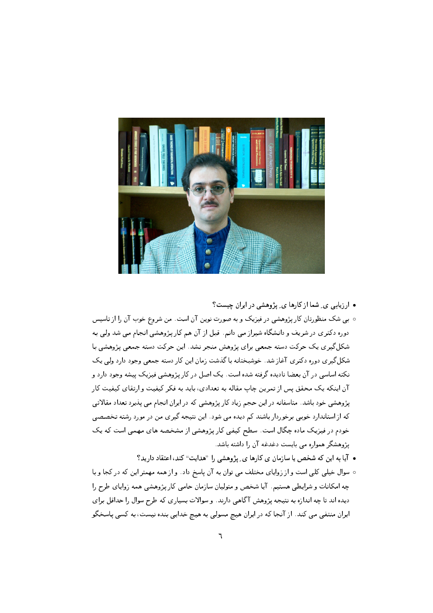

• ارزیابی ی ِ شما از کارها ی ِ پژوهشی در ایران چیست؟

- ببی شک منظورتان کار پژوهشی در فیزیک و به صورت نوین آن است. من شروع خوب آن را از تاسیس دوره دکتری در شریف و دانشگاه شیراز می دانم. قبل از آن هم کارپژوهشی انجام می شد ولی به شکل گیری یک حرکت دسته جمعی برای پژوهش منجر نشد. این حرکت دسته جمعی پژوهشی با شکل گیری دوره دکتری آغاز شد. خوشبختانه با گذشت زمان این کار دسته جمعی وجود دارد ولی یک نکته اساسی در آن بعضا نادیده گرفته شده است. یک اصل در کار پژوهشی فیزیک پیشه وجود دارد و آن اینکه یک محقق پس از تمرین چاپ مقاله به تعدادی، باید به فکر کیفیت و ارتقای کیفیت کار پژوهشی خود باشد. متاسفانه در این حجم زیاد کار پژوهشی که در ایران انجام می پذیرد تعداد مقالاتی که از استاندارد خوبی برخوردار باشند کم دیده می شود. این نتیجه گیری من در مورد رشته تخصصی خودم در فیزیک ماده چگال است. سطح کیفی کار پژوهشی از مشخصه های مهمی است که یک یژوهشگر همواره می بایست دغدغه آن را داشته باشد.
	- آیا به این که شخص یا سازمان ی کارها ی ِ پژوهشی را "هدایت" کند، اعتقاد دارید؟
- سوال خیلی کلی است و از زوایای مختلف می توان به آن پاسخ داد . و از همه مهمتر این که در کجا و با چه امکانات و شرایطی هستیم. آیا شخص و متولیان سازمان حامی کار پژوهشی همه زوایای طرح را دیده اند تا چه اندازه به نتیجه پژوهش آگاهی دارند. و سوالات بسیاری که طرح سوال را حداقل برای ایران منتفی می کند. از آنجا که در ایران هیچ مسولی به هیچ خدایی بنده نیست، به کسی پاسخگو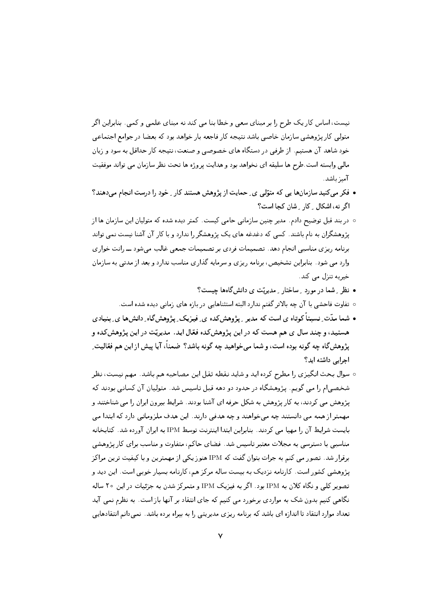نیست، اساس کار یک طرح را بر مبنای سعی و خطا بنا می کند نه مبنای علمی و کمی . بنابراین اگر متولی کار پژوهشی سازمان خاصی باشد نتیجه کار فاجعه بار خواهد بود که بعضا در جوامع اجتماعی خود شاهد آن هستیم. از طرفی در دستگاه های خصوصی و صنعت، نتیجه کار حداقل به سود و زیان مالی وابسته است طرح ها سلیقه ای نخواهد بود و هدایت پروژه ها تحت نظر سازمان می تواند موفقیت آمىز ياشد.

- فکر می کنید سازمانها یی که متوّلی ی ِ حمایت از پژوهش هستند کار ِ خود را درست انجام می دهند؟ اگر نه، اشکال ِ کار ِ شان کجا است؟
- در بند قبل توضیح دادم. مدیر چنین سازمانی حامی کیست. کمتر دیده شده که متولیان این سازمان ها از پژوهشگران به نام باشند. کسی که دغدغه های یک پژوهشگر را ندارد و با کار آن آشنا نیست نمی تواند برنامه ریزی مناسبی انجام دهد. تصمیمات فردی بر تصمیمات جمعی غالب می شود ـــ رانت خواری وارد مبی شود. بنابراین تشخیص، برنامه ریزی و سرمایه گذاری مناسب ندارد و بعد از مدتبی به سازمان خيريه تنزل مي كند.
	- نظر ِ شما در مورد ِ ساختار ِ مدیریّت ی دانشگاهها چیست؟
	- تفاوت فاحشى با آن چه بالاتر گفتم ندارد البته استثناهايى در بازه هاى زمانى ديده شده است.
- شما مدّت ِ نسبتاً کوتاه ی است که مدیر ِ پژوهش کده ی ِ فیزیک ِ پژوهش گاه ِ دانش ها ی ِ بنیادی هستید، و چند سال ی هم هست که در این پژوهشکده فعّال اید. مدیریّت در این پژوهشکده و پژوهشگاه چه گونه بوده است، و شما می خواهید چه گونه باشد؟ ضمناً، آیا پیش از این هم فعّالیت ِ اجرایی داشته اید؟
- سوال بحث انگیزی را مطرح کرده اید و شاید نقطه ثقل این مصاحبه هم باشد. مهم نیست، نظر شخصی|م را می گویم. پژوهشگاه در حدود دو دهه قبل تاسیس شد. متولیان آن کسانی بودند که یژوهش می کردند، به کار پژوهش به شکل حرفه ای آشنا بودند. شرایط بیرون ایران را می شناختند و مهمتر از همه می دانستند چه میخواهند و چه هدفی دارند. این هدف ملزوماتی دارد که ابتدا می بایست شرایط آن را مهیا می کردند. بنابراین ابتدا اینترنت توسط IPM به ایران آورده شد. کتابخانه مناسبی با دسترسی به مجلات معتبر تاسیس شد. فضای حاکم، متفاوت و مناسب برای کار پژوهشی برقرار شد. تصور می کنم به جرات بتوان گفت که IPM هنوز یکی از مهمترین و با کیفیت ترین مراکز یژوهشی کشور است. کارنامه نزدیک به بیست ساله مرکز هم، کارنامه بسیار خوبی است. این دید و تصویر کلبی و نگاه کلان به IPM بود. اگر به فیزیک IPM و متمرکز شدن به جزئیات در این ۲۰ ساله نگاهی کنیم بدون شک به مواردی برخورد می کنیم که جای انتقاد بر آنها باز است. به نظرم نمی آید تعداد موارد انتقاد تا اندازه ای باشد که برنامه ریزی مدیریتی را به بیراه برده باشد. نمیدانم انتقادهایی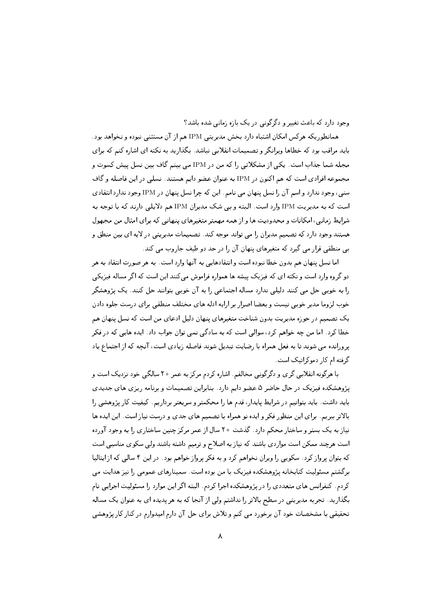وجود دارد که باعث تغییر و دگرگونی در یک بازه زمانی شده باشد؟

همانطوریکه هرکس امکان اشتباه دارد بخش مدیریتی IPM هم از آن مستثنی نبوده و نخواهد بود. باید مراقب بود که خطاها ویرانگر و تصمیمات انقلابی نباشد. بگذارید به نکته ای اشاره کنم که برای مجله شما جذاب است. یکی از مشکلاتی را که من در IPM می بینم گاف بین نسل پیش کسوت و مجموعه افرادي است كه هم اكنون در IPM به عنوان عضو دايم هستند. نسلبي در اين فاصله و گاف سنی، وجود ندارد و اسم آن را نسل پنهان می نامم. این که چرا نسل پنهان در IPM وجود ندارد انتقادی است که به مدیریت IPM وارد است. البته و بی شک مدیران IPM هم دلایلی دارند که با توجه به شرایط زمانی، امکانات و محدودیت ها و از همه مهمتر متغیرهای پنهانی که برای امثال من مجهول هستند وجود دارد که تصمیم مدیران را می تواند موجه کند. تصمیمات مدیریتی در لایه ای بین منطق و بے ٍ منطقی قرار می گیرد که متغیرهای پنهان آن را در حد دو طیف جاروب می کند.

اما نسل پنهان هم بدون خطا نبوده است و انتقادهایی به آنها وارد است. به هر صورت انتقاد به هر دو گروه وارد است و نکته ای که فیزیک پیشه ها همواره فراموش میکنند این است که اگر مساله فیزیکی را به خوبی حل می کنند دلیلی ندارد مساله اجتماعی را به آن خوبی بتوانند حل کنند. یک پژوهشگر خوب لزوما مدیر خوبی نیست و بعضا اصرار بر ارایه ادله های مختلف منطقی برای درست جلوه دادن یک تصمیم در حوزه مدیریت بدون شناخت متغیرهای پنهان دلیل ادعای من است که نسل پنهان هم خطا کرد . اما من چه خواهم کرد، سوالی است که به سادگی نمی توان جواب داد . ایده هایی که در فکر پرورانده می شوند تا به فعل همراه با رضایت تبدیل شوند فاصله زیادی است، آنچه که از اجتماع یاد گرفته ام کار دموکراتیک است.

با هرگونه انقلابی گری و دگرگونی مخالفم. اشاره کردم مرکز به عمر ۲۰ سالگی خود نزدیک است و پژوهشکده فیزیک در حال حاضر ۵ عضو دایم دارد. بنابراین تصمیمات و برنامه ریزی های جدیدی باید داشت. باید بتوانیم در شرایط پایدار، قدم ها را محکمتر و سریعتر برداریم. کیفیت کار پژوهشی را بالاتر ببریم. برای این منظور فکر و ایده نو همراه با تصمیم های جدی و درست نیاز است. این ایده ها نیاز به یک بستر و ساختار محکم دارد. گذشت ۲۰ سال از عمر مرکز چنین ساختاری را به وجود آورده است هرچند ممکن است مواردی باشند که نیاز به اصلاح و ترمیم داشته باشند ولی سکوی مناسبی است که بتوان پرواز کرد. سکویی را ویران نخواهم کرد و به فکر پرواز خواهم بود. در این ۴ سالی که از ایتالیا برگشتم مسئولیت کتابخانه پژوهشکده فیزیک با من بوده است. سمینارهای عمومی را نیز هدایت می کردم. کنفرانس های متعددی را در پژوهشکده اجرا کردم. البته اگر این موارد را مسئولیت اجرایی نام بگذارید. تجربه مدیریتی در سطح بالاتر را نداشتم ولیی از آنجا که به هر پدیده ای به عنوان یک مساله تحقیقی با مشخصات خود آن برخورد می کنم و تلاش برای حل آن دارم امیدوارم در کنار کار پژوهشی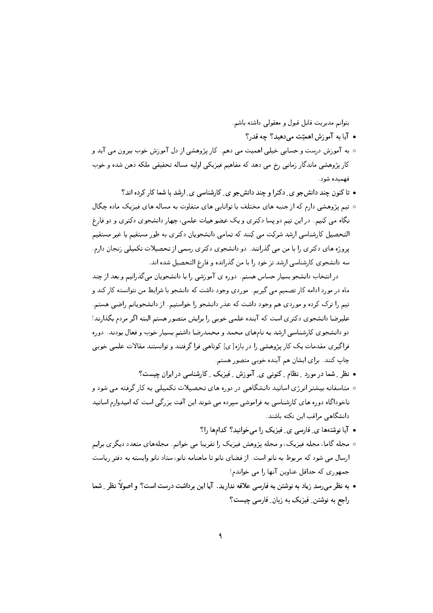بتوانم مديريت قابل قبول و معقولی داشته باشم.

- آيا به آموزش اهميّت مي دهيد؟ چه قدر؟
- ه به آموزش درست و حسابی خیلی اهمیت می دهم. کار پژوهشی از دل آموزش خوب بیرون می آید و کار پژوهشی ماندگار زمانی رخ می دهد که مفاهیم فیزیکی اولیه مساله تحقیقی ملکه دهن شده و خوب فهمنده شود.
	- تاکنون چند دانش جو ی ِ دکترا و چند دانش جو ی ِ کارشناسی ی ِ ارشد با شما کار کرده اند؟
- تیم پژوهشی دارم که از جنبه های مختلف با توانایی های متفاوت به مساله های فیزیک ماده چگال نگاه می کنیم. در این تیم دو پسا دکتری و یک عضو هیات علمی، چهار دانشجوی دکتری و دو فارغ التحصیل کارشناسی ارشد شرکت می کنند که تمامی دانشجویان دکتری به طور مستقیم یا غیر مستقیم پروژه های دکتری را با من می گذرانند. دو دانشجوی دکتری رسمی از تحصیلات تکمیلی زنجان دارم. سه دانشجوی کارشناسی ارشد تز خود را با من گذرانده و فارغ التحصیل شده اند.

در انتخاب دانشجو بسیار حساس هستم. دوره ی آموزشی را با دانشجویان می گذرانیم و بعد از چند ماه در مورد ادامه کار تصمیم می گیریم. موردی وجود داشت که دانشجو با شرایط من نتوانسته کار کند و تیم را ترک کرده و موردی هم وجود داشت که عذر دانشجو را خواستیم. از دانشجویانم راضی هستم. علیرضا دانشجوی دکتری است که آینده علمی خوبی را برایش متصور هستم البته اگر مردم بگذارند! دو دانشجوی کارشناسی ارشد به نامهای محمد و محمدرضا داشتم بسیار خوب و فعال بودند. دوره فراگیری مقدمات یک کار پژوهشی را در بازه [ ی] کوتاهی فرا گرفتند و توانستند مقالات علمی خوبی چاپ کنند. برای ایشان هم آینده خوبی متصور هستم.

- نظر ِ شما در مورد ِ نظام ِ کنونی ی ِ آموزش ِ فیزیک ِ کارشناسی در ایران چیست؟
- متاسفانه بیشتر انرژی اساتید دانشگاهی در دوره های تحصیلات تکمیلی به کار گرفته می شود و ناخوداگاه دوره های کارشناسی به فراموشی سیرده می شوند این آفت بزرگی است که امیدوارم اساتید دانشگاهی مراقب این نکته باشند.
	- آیا نوشتهها ی ِ فارسی ی ِ فیزیک را می خوانید؟ کدامها را؟
- ۰ مجله گاما، مجله فیزیک، و مجله پژوهش فیزیک را تقریبا می خوانم. مجلههای متعدد دیگری برایم ارسال می شود که مربوط به نانو است. از فضای نانو تا ماهنامه نانو، ستاد نانو وابسته به دفتر ریاست جمهوري كه حداقل عناوين آنها را مي خواندم!
- به نظر میرسد زیاد به نوشتن به فارسی علاقه ندارید. آیا این برداشت درست است؟ و اصولاً نظر \_ شما راجع به نوشتن ِ فیزیک به زبان ِ فارسی چیست؟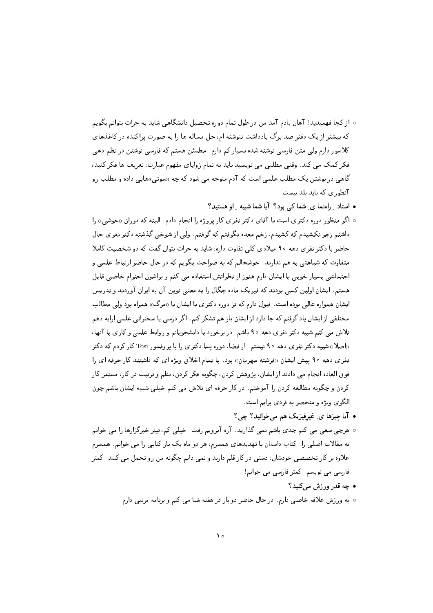- از کجا فهمپدید! آهان یادم آمد من در طول تمام دوره تحصیل دانشگاهی شاید به جرات بتوانم بگویم که بیشتر از یک دفتر صد برگ یادداشت ننوشته ام، حل مساله ها را به صورت پراکنده در کاغذهای کلاسور دارم ولی متن فارسی نوشته شده بسیار کم دارم. مطمئن هستم که فارسی نوشتن در نظم دهی فکر کمک می کند. وقتی مطلبی می نویسید باید به تمام زوایای مفهوم عبارت، تعریف ها فکر کنید، گاهمی در نوشتن یک مطلب علمی است که آدم متوجه می شود که چه «سوتی»هایی داده و مطلب رو آنطوری که باید بلد نیست!
	- استاد ِ راهنما ی ِ شما کی بود؟ آیا شما شبیه ِ او هستید؟
- ۰ اگر منظور دوره دکتری است با آقای دکتر نفری کار پروژه را انجام دادم. البته که دوران «خوشی» را داشتم زجر نکشیدم که کشیدم، زخم معده نگرفتم که گرفتم. ولی از شوخی گذشته دکتر نفری حال حاضر با دکتر نفری دهه ۹۰ میلادی کلمی تفاوت داره، شاید به جرات بتوان گفت که دو شخصیت کاملا متفاوت که شباهتی به هم ندارند. خوشحالم که به صراحت بگویم که در حال حاضر ارتباط علمی و اجتماعی بسیار خوبی با ایشان دارم هنوز از نظراتش استفاده می کنم و براشون احترام خاصی قایل هستم. ایشان اولین کسی بودند که فیزیک ماده چگال را به معنی نوین آن به ایران آوردند و تدریس ایشان همواره عالی بوده است. قبول دارم که تز دوره دکتری با ایشان با «مرگ» همراه بود ولی مطالب مختلفی از ایشان یاد گرفتم که جا دارد از ایشان باز هم تشکر کنم. اگر درسی یا سخنرانی علمی ارایه دهم تلاش می کنم شبیه دکتر نفری دهه ۹۰ باشم. در برخورد با دانشجویانم و روابط علمی و کاری با آنها، «اصلا» شبیه دکتر نفری دهه ۹۰ نیستم. از قضا، دوره پسا دکتری را با پروفسور Tosi کار کردم که دکتر نفري دهه ۹۰ پيش ايشان «فرشته مهربان» بود . با تمام اخلاق ويژه اي كه داشتند كار حرفه اي را فوق العاده انجام می دادند از ایشان، پژوهش کردن، چگونه فکر کردن، نظم و ترتیب در کار، مستمر کار كردن و چگونه مطالعه كردن را آموختم. در كار حرفه اي تلاش مي كنم خيلي شبيه ايشان باشم چون الگوی ویژه و منحصر به فردی برایم است.
	- آیا چیزها ی ِ غیرفیزیک هم میخوانید؟ چی؟
- هرچی سعی می کنم جدی باشم نمی گذارید. آره آبرویم رفت! خیلی کم، تیتر خبرگزارها را می خوانم نه مقالات اصلی را. کتاب داستان با تهدیدهای همسرم، هر دو ماه یک بار کتابی را می خوانم. همسرم علاوه بر کار تخصصی خودشان، دستی در کار قلم دارند و نمی دانم چگونه من رو تحمل می کنند. کمتر فارسی می نویسم! کمتر فارسی می خوانم!
	- چه قدر ورزش مې کنيد؟
	- به ورزش علاقه خاصی دارم. در حال حاضر دو بار در هفته شنا می کنم و برنامه مرتبی دارم.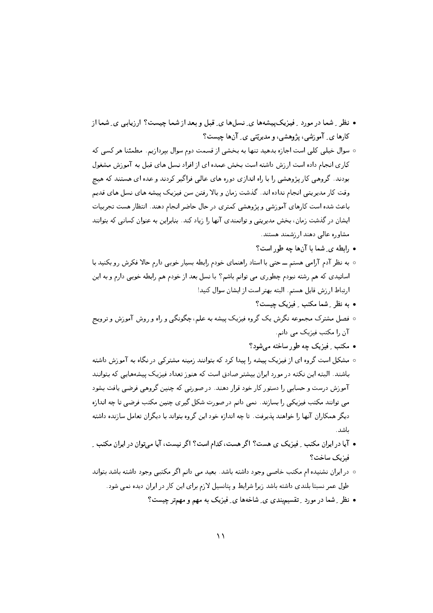- نظر رِ شما در مورد رِ فیزیک پیشهها ی ِ نسلها ی ِ قبل و بعد از شما چیست؟ ارزیابی ی ِ شما از کارها ی ِ آموزشی، پژوهشی، و مدیریّتی ی ِ آنها چیست؟
- سوال خیلی کلی است اجازه بدهید تنها به بخشی از قسمت دوم سوال بیردازیم. مطمئنا هر کسی که کاری انجام داده است از زش داشته است بخش عمده ای از افراد نسل های قبل به آموزش مشغول بودند. گروهی کار پژوهشی را با راه اندازی دوره های عالی فراگیر کردند و عده ای هستند که هیئچ وقت کار مدیریتی انجام نداده اند. گذشت زمان و بالا رفتن سن فیزیک پیشه های نسل های قدیم باعث شده است کارهای آموزشی و پژوهشی کمتری در حال حاضر انجام دهند. انتظار هست تجربیات ایشان در گذشت زمان، بخش مدیریتی و توانمندی آنها را زیاد کند. بنابراین به عنوان کسانی که بتوانند مشاوره عالى دهند ارزشمند هستند.
	- ,ابطه ی ِ شما با آنها چه طور است؟
- به نظر آدم آرامبی هستم ـــ حتبی با استاد راهنمای خودم رابطه بسیار خوبی دارم حالا فکرش رو بکنید با اساتیدی که هم رشته نبودم چطوری می توانم باشم؟ با نسل بعد از خودم هم رابطه خوبی دارم و به این ارتباط ارزش قايل هستم. البته بهتر است از ايشان سوال كنيد!
	- به نظر ِ شما مکتب ِ فیزیک چیست؟
- فصل مشترک مجموعه نگرش یک گروه فیزیک پیشه به علم، چگونگی و راه و روش آموزش و ترویج آن را مکتب فیزیک می دانم.
	- مکتب ِ فیزیک چه طور ساخته می شود؟
- مشکل است گروه ای از فیزیک پیشه را پیدا کرد که بتوانند زمینه مشترکی در نگاه به آموزش داشته باشند. البته این نکته در مورد ایران بیشتر صادق است که هنوز تعداد فیزیک پیشههایی که بتوانند آموزش درست و حسابی را دستور کار خود قرار دهند. در صورتی که چنین گروهی فرضی یافت بشود می توانند مکتب فیزیکی را بسازند. نمی دانم در صورت شکل گیری چنین مکتب فرضی تا چه اندازه دیگر همکاران آنها را خواهند پذیرفت. تا چه اندازه خود این گروه بتواند با دیگران تعامل سازنده داشته ىاشد.
- آیا در ایران مکتب ِ فیزیک ی هست؟ اگر هست، کدام است؟ اگر نیست، آیا میتوان در ایران مکتب ِ فيزيك ساخت؟
- در ایران نشنیده ام مکتب خاصی وجود داشته باشد. بعید می دانم اگر مکتبی وجود داشته باشد بتواند طول عمر نسبتا بلندی داشته باشد زیرا شرایط و پتانسیل لازم برای این کار در ایران دیده نمی شود.
	- نظر ِ شما در مورد ِ تقسیم بندی ی ِ شاخهها ی ِ فیزیک به مهم و مهمتر چیست؟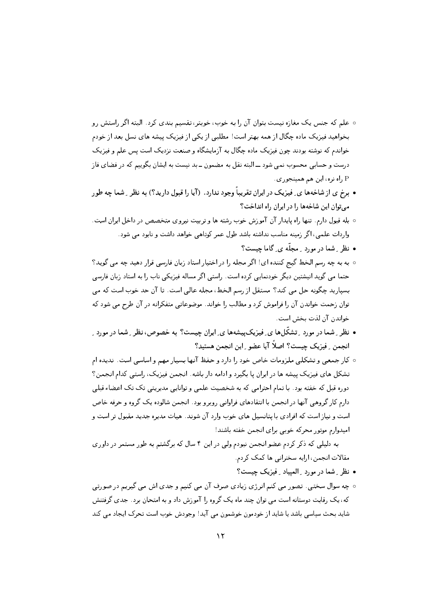- علم که جنس یک مغازه نیست بتوان آن را به خوب، خوبتر، تقسیم بندی کرد. البته اگر راستش رو بخواهید فیزیک ماده چگال از همه بهتر است! مطلبی از یکی از فیزیک پیشه های نسل بعد از خودم خواندم که نوشته بودند چون فیزیک ماده چگال به آزمایشگاه و صنعت نزدیک است پس علم و فیزیک درست و حسابی محسوب نمی شود ـــ البته نقل به مضمون ــ بد نیست به ایشان بگوییم که در فضای فاز راه نره، اين هم همينجوري.  ${\rm P}$
- برخ ی از شاخهها ی ِ فیزیک در ایران تقریباً وجود ندارد. (آیا را قبول دارید؟) به نظر ِ شما چه طو, می توان این شاخهها را در ایران راه انداخت؟
- ٥ بله قبول دارم. تنها راه پایدار آن آموزش خوب رشته ها و تربیت نیروی متخصص در داخل ایران است. واردات علمی، اگر زمینه مناسب نداشته باشد طول عمر کوتاهی خواهد داشت و نابود می شود.
	- نظر ِ شما در مورد ِ مجلَّه ی ِ گاما چیست؟
- به به چه رسم الخط گیج کننده ای! اگر مجله را در اختیار استاد زبان فارسی قرار دهید چه می گوید؟ حتما می گوید انیشتین دیگر خودنمایی کرده است. راستی اگر مساله فیزیکی ناب را به استاد زبان فارسی بسپارید چگونه حل می کند؟ مستقل از رسم الخط، مجله عالی است. تا آن حد خوب است که می توان زحمت خواندن آن را فراموش کرد و مطالب را خواند. موضوعاتی متفکرانه در آن طرح می شود که خواندن آن لذت يخش است.
- نظر ِ شما در مورد ِ تشکّلها ی ِ فیزیکییشهها ی ِ ایران چیست؟ به خصوص، نظر ِ شما در مورد ِ انجمن ِ فيزيک چيست؟ اصلاً آيا عضو ِ اين انجمن هستيد؟
- كار جمعي و تشكلي ملزومات خاص خود را دارد و حفظ آنها بسيار مهم و اساسي است. نديده ام تشکل های فیزیک پیشه ها در ایران یا بگیرد و ادامه دار باشه. انجمن فیزیک، راستی کدام انجمن؟ دوره قبل که خفته بود. با تمام احترامی که به شخصیت علمی و توانایی مدیریتی تک تک اعضاء قبلی دارم کار گروهی آنها در انجمن با انتقادهای فراوانی روبرو بود. انجمن شالوده یک گروه و حرفه خاص است و نیاز است که افرادی با پتانسیل های خوب وارد آن شوند. هیات مدیره جدید مقبول تر است و امیدوارم موتور محرکه خوبی برای انجمن خفته باشند!

به دلیلی که ذکر کردم عضو انجمن نبودم ولی در این ۴ سال که برگشتم به طور مستمر در داوری مقالات انجمن، ارايه سخنراني ها كمک كردم.

- نظر ِ شما در مورد ِ الميياد ِ فيزيک چيست؟
- چه سوال سختی. تصور می کنم انرژی زیادی صرف آن می کنیم و جدی اش می گیریم در صورتی که، یک رقابت دوستانه است می توان چند ماه یک گروه را آموزش داد و به امتحان برد. جدی گرفتنش شاید بحث سیاسی باشد یا شاید از خودمون خوشمون می آید! وجودش خوب است تحرک ایجاد می کند